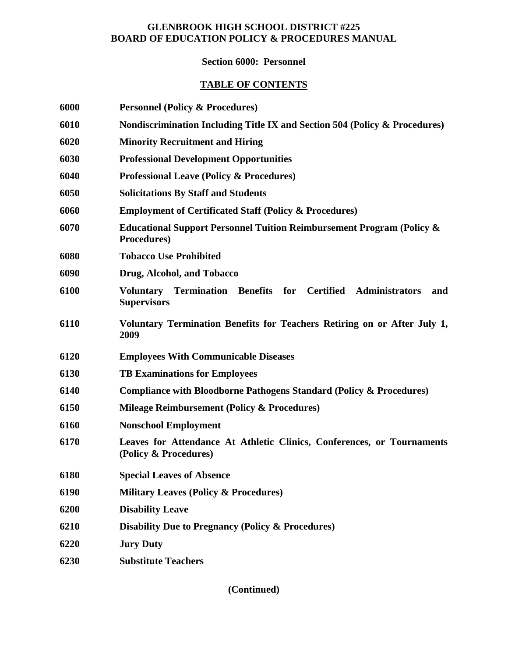## **GLENBROOK HIGH SCHOOL DISTRICT #225 BOARD OF EDUCATION POLICY & PROCEDURES MANUAL**

## **Section 6000: Personnel**

## **TABLE OF CONTENTS**

| 6000 | <b>Personnel (Policy &amp; Procedures)</b>                                                                   |
|------|--------------------------------------------------------------------------------------------------------------|
| 6010 | Nondiscrimination Including Title IX and Section 504 (Policy & Procedures)                                   |
| 6020 | <b>Minority Recruitment and Hiring</b>                                                                       |
| 6030 | <b>Professional Development Opportunities</b>                                                                |
| 6040 | <b>Professional Leave (Policy &amp; Procedures)</b>                                                          |
| 6050 | <b>Solicitations By Staff and Students</b>                                                                   |
| 6060 | <b>Employment of Certificated Staff (Policy &amp; Procedures)</b>                                            |
| 6070 | <b>Educational Support Personnel Tuition Reimbursement Program (Policy &amp;</b><br>Procedures)              |
| 6080 | <b>Tobacco Use Prohibited</b>                                                                                |
| 6090 | Drug, Alcohol, and Tobacco                                                                                   |
| 6100 | Termination Benefits for Certified<br><b>Administrators</b><br><b>Voluntary</b><br>and<br><b>Supervisors</b> |
| 6110 | Voluntary Termination Benefits for Teachers Retiring on or After July 1,<br>2009                             |
| 6120 | <b>Employees With Communicable Diseases</b>                                                                  |
| 6130 | <b>TB Examinations for Employees</b>                                                                         |
| 6140 | <b>Compliance with Bloodborne Pathogens Standard (Policy &amp; Procedures)</b>                               |
| 6150 | <b>Mileage Reimbursement (Policy &amp; Procedures)</b>                                                       |
| 6160 | <b>Nonschool Employment</b>                                                                                  |
| 6170 | Leaves for Attendance At Athletic Clinics, Conferences, or Tournaments<br>(Policy & Procedures)              |
| 6180 | <b>Special Leaves of Absence</b>                                                                             |
| 6190 | <b>Military Leaves (Policy &amp; Procedures)</b>                                                             |
| 6200 | <b>Disability Leave</b>                                                                                      |
| 6210 | <b>Disability Due to Pregnancy (Policy &amp; Procedures)</b>                                                 |
| 6220 | <b>Jury Duty</b>                                                                                             |
| 6230 | <b>Substitute Teachers</b>                                                                                   |
|      |                                                                                                              |

**(Continued)**